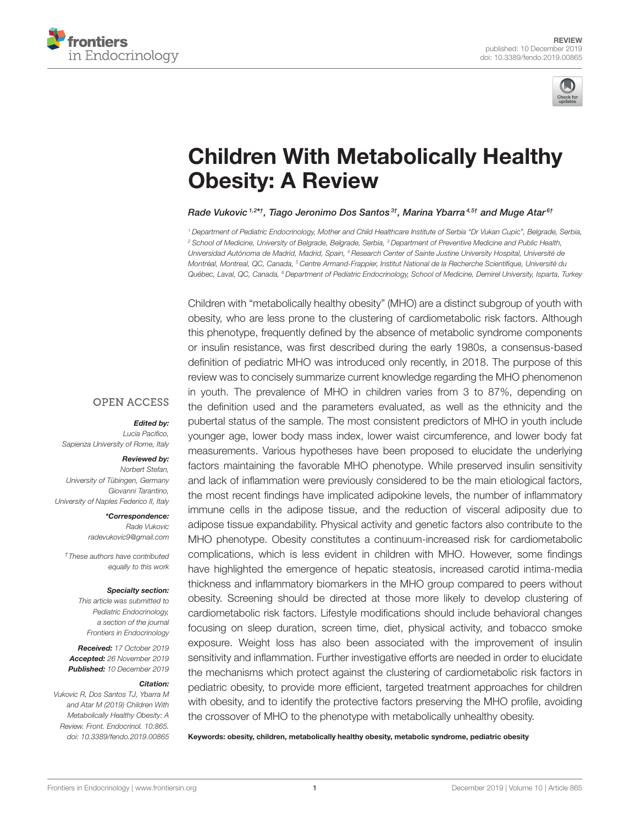



# [Children With Metabolically Healthy](https://www.frontiersin.org/articles/10.3389/fendo.2019.00865/full) Obesity: A Review

#### [Rade Vukovic](http://loop.frontiersin.org/people/299311/overview)<sup>1,2</sup>\*†, [Tiago Jeronimo Dos Santos](http://loop.frontiersin.org/people/830516/overview)<sup>3†</sup>, [Marina Ybarra](http://loop.frontiersin.org/people/860357/overview)<sup>4,5†</sup> and [Muge Atar](http://loop.frontiersin.org/people/846229/overview)<sup>6†</sup>

<sup>1</sup> Department of Pediatric Endocrinology, Mother and Child Healthcare Institute of Serbia "Dr Vukan Cupic", Belgrade, Serbia, <sup>2</sup> School of Medicine, University of Belgrade, Belgrade, Serbia, <sup>3</sup> Department of Preventive Medicine and Public Health, Universidad Autónoma de Madrid, Madrid, Spain, <sup>4</sup> Research Center of Sainte Justine University Hospital, Université de Montréal, Montreal, QC, Canada, <sup>5</sup> Centre Armand-Frappier, Institut National de la Recherche Scientifique, Université du Québec, Laval, QC, Canada, <sup>6</sup> Department of Pediatric Endocrinology, School of Medicine, Demirel University, Isparta, Turkey

Children with "metabolically healthy obesity" (MHO) are a distinct subgroup of youth with obesity, who are less prone to the clustering of cardiometabolic risk factors. Although this phenotype, frequently defined by the absence of metabolic syndrome components or insulin resistance, was first described during the early 1980s, a consensus-based definition of pediatric MHO was introduced only recently, in 2018. The purpose of this review was to concisely summarize current knowledge regarding the MHO phenomenon in youth. The prevalence of MHO in children varies from 3 to 87%, depending on the definition used and the parameters evaluated, as well as the ethnicity and the pubertal status of the sample. The most consistent predictors of MHO in youth include younger age, lower body mass index, lower waist circumference, and lower body fat measurements. Various hypotheses have been proposed to elucidate the underlying factors maintaining the favorable MHO phenotype. While preserved insulin sensitivity and lack of inflammation were previously considered to be the main etiological factors, the most recent findings have implicated adipokine levels, the number of inflammatory immune cells in the adipose tissue, and the reduction of visceral adiposity due to adipose tissue expandability. Physical activity and genetic factors also contribute to the MHO phenotype. Obesity constitutes a continuum-increased risk for cardiometabolic complications, which is less evident in children with MHO. However, some findings have highlighted the emergence of hepatic steatosis, increased carotid intima-media thickness and inflammatory biomarkers in the MHO group compared to peers without obesity. Screening should be directed at those more likely to develop clustering of cardiometabolic risk factors. Lifestyle modifications should include behavioral changes focusing on sleep duration, screen time, diet, physical activity, and tobacco smoke exposure. Weight loss has also been associated with the improvement of insulin sensitivity and inflammation. Further investigative efforts are needed in order to elucidate the mechanisms which protect against the clustering of cardiometabolic risk factors in pediatric obesity, to provide more efficient, targeted treatment approaches for children with obesity, and to identify the protective factors preserving the MHO profile, avoiding the crossover of MHO to the phenotype with metabolically unhealthy obesity.

**OPEN ACCESS** 

#### Edited by:

Lucia Pacifico, Sapienza University of Rome, Italy

#### Reviewed by:

Norbert Stefan, University of Tübingen, Germany Giovanni Tarantino, University of Naples Federico II, Italy

> \*Correspondence: Rade Vukovic [radevukovic9@gmail.com](mailto:radevukovic9@gmail.com)

†These authors have contributed equally to this work

#### Specialty section:

This article was submitted to Pediatric Endocrinology, a section of the journal Frontiers in Endocrinology

Received: 17 October 2019 Accepted: 26 November 2019 Published: 10 December 2019

#### Citation:

Vukovic R, Dos Santos TJ, Ybarra M and Atar M (2019) Children With Metabolically Healthy Obesity: A Review. Front. Endocrinol. 10:865. doi: [10.3389/fendo.2019.00865](https://doi.org/10.3389/fendo.2019.00865)

Keywords: obesity, children, metabolically healthy obesity, metabolic syndrome, pediatric obesity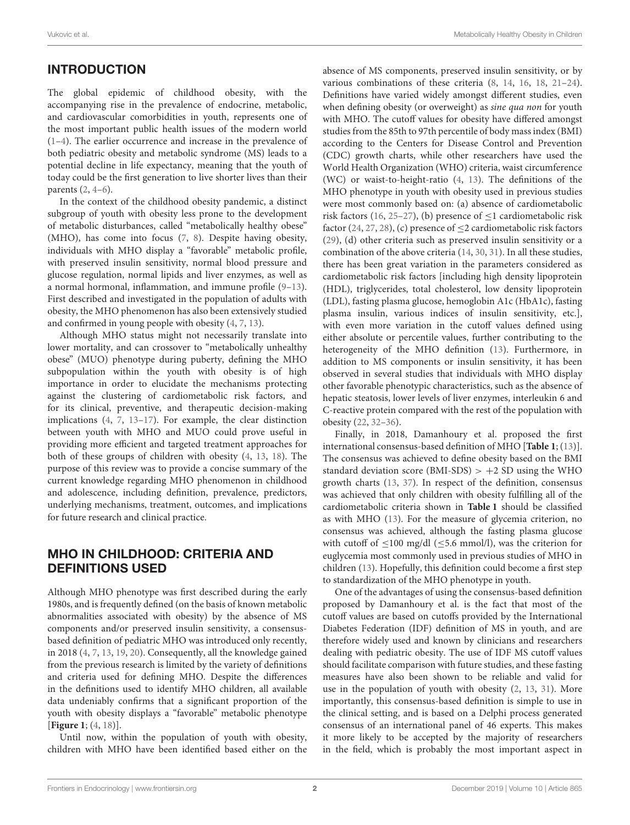# INTRODUCTION

The global epidemic of childhood obesity, with the accompanying rise in the prevalence of endocrine, metabolic, and cardiovascular comorbidities in youth, represents one of the most important public health issues of the modern world [\(1–](#page-6-0)[4\)](#page-6-1). The earlier occurrence and increase in the prevalence of both pediatric obesity and metabolic syndrome (MS) leads to a potential decline in life expectancy, meaning that the youth of today could be the first generation to live shorter lives than their parents [\(2,](#page-6-2) [4–](#page-6-1)[6\)](#page-6-3).

In the context of the childhood obesity pandemic, a distinct subgroup of youth with obesity less prone to the development of metabolic disturbances, called "metabolically healthy obese" (MHO), has come into focus [\(7,](#page-6-4) [8\)](#page-6-5). Despite having obesity, individuals with MHO display a "favorable" metabolic profile, with preserved insulin sensitivity, normal blood pressure and glucose regulation, normal lipids and liver enzymes, as well as a normal hormonal, inflammation, and immune profile [\(9–](#page-6-6)[13\)](#page-6-7). First described and investigated in the population of adults with obesity, the MHO phenomenon has also been extensively studied and confirmed in young people with obesity [\(4,](#page-6-1) [7,](#page-6-4) [13\)](#page-6-7).

Although MHO status might not necessarily translate into lower mortality, and can crossover to "metabolically unhealthy obese" (MUO) phenotype during puberty, defining the MHO subpopulation within the youth with obesity is of high importance in order to elucidate the mechanisms protecting against the clustering of cardiometabolic risk factors, and for its clinical, preventive, and therapeutic decision-making implications [\(4,](#page-6-1) [7,](#page-6-4) [13–](#page-6-7)[17\)](#page-6-8). For example, the clear distinction between youth with MHO and MUO could prove useful in providing more efficient and targeted treatment approaches for both of these groups of children with obesity [\(4,](#page-6-1) [13,](#page-6-7) [18\)](#page-6-9). The purpose of this review was to provide a concise summary of the current knowledge regarding MHO phenomenon in childhood and adolescence, including definition, prevalence, predictors, underlying mechanisms, treatment, outcomes, and implications for future research and clinical practice.

### MHO IN CHILDHOOD: CRITERIA AND DEFINITIONS USED

Although MHO phenotype was first described during the early 1980s, and is frequently defined (on the basis of known metabolic abnormalities associated with obesity) by the absence of MS components and/or preserved insulin sensitivity, a consensusbased definition of pediatric MHO was introduced only recently, in 2018 [\(4,](#page-6-1) [7,](#page-6-4) [13,](#page-6-7) [19,](#page-6-10) [20\)](#page-6-11). Consequently, all the knowledge gained from the previous research is limited by the variety of definitions and criteria used for defining MHO. Despite the differences in the definitions used to identify MHO children, all available data undeniably confirms that a significant proportion of the youth with obesity displays a "favorable" metabolic phenotype [**[Figure 1](#page-2-0)**; [\(4,](#page-6-1) [18\)](#page-6-9)].

Until now, within the population of youth with obesity, children with MHO have been identified based either on the absence of MS components, preserved insulin sensitivity, or by various combinations of these criteria [\(8,](#page-6-5) [14,](#page-6-12) [16,](#page-6-13) [18,](#page-6-9) [21–](#page-6-14)[24\)](#page-7-0). Definitions have varied widely amongst different studies, even when defining obesity (or overweight) as sine qua non for youth with MHO. The cutoff values for obesity have differed amongst studies from the 85th to 97th percentile of body mass index (BMI) according to the Centers for Disease Control and Prevention (CDC) growth charts, while other researchers have used the World Health Organization (WHO) criteria, waist circumference (WC) or waist-to-height-ratio [\(4,](#page-6-1) [13\)](#page-6-7). The definitions of the MHO phenotype in youth with obesity used in previous studies were most commonly based on: (a) absence of cardiometabolic risk factors [\(16,](#page-6-13) [25](#page-7-1)[–27\)](#page-7-2), (b) presence of  $\leq$ 1 cardiometabolic risk factor [\(24,](#page-7-0) [27,](#page-7-2) [28\)](#page-7-3), (c) presence of ≤2 cardiometabolic risk factors [\(29\)](#page-7-4), (d) other criteria such as preserved insulin sensitivity or a combination of the above criteria [\(14,](#page-6-12) [30,](#page-7-5) [31\)](#page-7-6). In all these studies, there has been great variation in the parameters considered as cardiometabolic risk factors [including high density lipoprotein (HDL), triglycerides, total cholesterol, low density lipoprotein (LDL), fasting plasma glucose, hemoglobin A1c (HbA1c), fasting plasma insulin, various indices of insulin sensitivity, etc.], with even more variation in the cutoff values defined using either absolute or percentile values, further contributing to the heterogeneity of the MHO definition [\(13\)](#page-6-7). Furthermore, in addition to MS components or insulin sensitivity, it has been observed in several studies that individuals with MHO display other favorable phenotypic characteristics, such as the absence of hepatic steatosis, lower levels of liver enzymes, interleukin 6 and C-reactive protein compared with the rest of the population with obesity [\(22,](#page-7-7) [32–](#page-7-8)[36\)](#page-7-9).

Finally, in 2018, Damanhoury et al. proposed the first international consensus-based definition of MHO [**[Table 1](#page-2-1)**; [\(13\)](#page-6-7)]. The consensus was achieved to define obesity based on the BMI standard deviation score (BMI-SDS)  $> +2$  SD using the WHO growth charts [\(13,](#page-6-7) [37\)](#page-7-10). In respect of the definition, consensus was achieved that only children with obesity fulfilling all of the cardiometabolic criteria shown in **[Table 1](#page-2-1)** should be classified as with MHO [\(13\)](#page-6-7). For the measure of glycemia criterion, no consensus was achieved, although the fasting plasma glucose with cutoff of  $\leq$ 100 mg/dl ( $\leq$ 5.6 mmol/l), was the criterion for euglycemia most commonly used in previous studies of MHO in children [\(13\)](#page-6-7). Hopefully, this definition could become a first step to standardization of the MHO phenotype in youth.

One of the advantages of using the consensus-based definition proposed by Damanhoury et al. is the fact that most of the cutoff values are based on cutoffs provided by the International Diabetes Federation (IDF) definition of MS in youth, and are therefore widely used and known by clinicians and researchers dealing with pediatric obesity. The use of IDF MS cutoff values should facilitate comparison with future studies, and these fasting measures have also been shown to be reliable and valid for use in the population of youth with obesity [\(2,](#page-6-2) [13,](#page-6-7) [31\)](#page-7-6). More importantly, this consensus-based definition is simple to use in the clinical setting, and is based on a Delphi process generated consensus of an international panel of 46 experts. This makes it more likely to be accepted by the majority of researchers in the field, which is probably the most important aspect in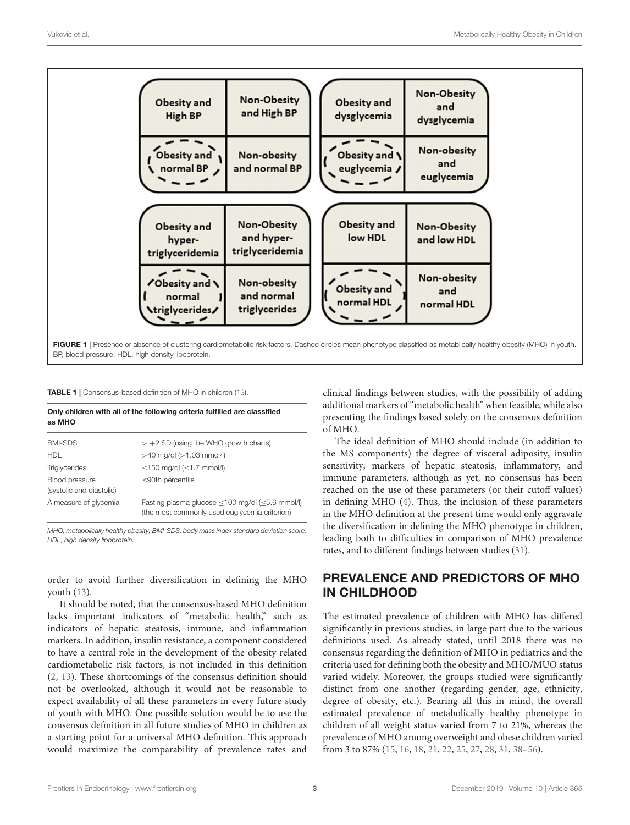

<span id="page-2-1"></span><span id="page-2-0"></span>TABLE 1 | Consensus-based definition of MHO in children [\(13\)](#page-6-7).

| Only children with all of the following criteria fulfilled are classified<br>as MHO |                                                                                                  |
|-------------------------------------------------------------------------------------|--------------------------------------------------------------------------------------------------|
| <b>BMI-SDS</b>                                                                      | $> +2$ SD (using the WHO growth charts)                                                          |
| <b>HDL</b>                                                                          | $>40$ mg/dl ( $>1.03$ mmol/l)                                                                    |
| <b>Triglycerides</b>                                                                | $<$ 150 mg/dl $(<$ 1.7 mmol/l)                                                                   |
| Blood pressure<br>(systolic and diastolic)                                          | <90th percentile                                                                                 |
| A measure of glycemia                                                               | Fasting plasma glucose <100 mg/dl (<5.6 mmol/l)<br>(the most commonly used euglycemia criterion) |

MHO, metabolically healthy obesity; BMI-SDS, body mass index standard deviation score; HDL, high density lipoprotein.

order to avoid further diversification in defining the MHO youth [\(13\)](#page-6-7).

It should be noted, that the consensus-based MHO definition lacks important indicators of "metabolic health," such as indicators of hepatic steatosis, immune, and inflammation markers. In addition, insulin resistance, a component considered to have a central role in the development of the obesity related cardiometabolic risk factors, is not included in this definition [\(2,](#page-6-2) [13\)](#page-6-7). These shortcomings of the consensus definition should not be overlooked, although it would not be reasonable to expect availability of all these parameters in every future study of youth with MHO. One possible solution would be to use the consensus definition in all future studies of MHO in children as a starting point for a universal MHO definition. This approach would maximize the comparability of prevalence rates and

clinical findings between studies, with the possibility of adding additional markers of "metabolic health" when feasible, while also presenting the findings based solely on the consensus definition of MHO.

The ideal definition of MHO should include (in addition to the MS components) the degree of visceral adiposity, insulin sensitivity, markers of hepatic steatosis, inflammatory, and immune parameters, although as yet, no consensus has been reached on the use of these parameters (or their cutoff values) in defining MHO [\(4\)](#page-6-1). Thus, the inclusion of these parameters in the MHO definition at the present time would only aggravate the diversification in defining the MHO phenotype in children, leading both to difficulties in comparison of MHO prevalence rates, and to different findings between studies [\(31\)](#page-7-6).

# PREVALENCE AND PREDICTORS OF MHO IN CHILDHOOD

The estimated prevalence of children with MHO has differed significantly in previous studies, in large part due to the various definitions used. As already stated, until 2018 there was no consensus regarding the definition of MHO in pediatrics and the criteria used for defining both the obesity and MHO/MUO status varied widely. Moreover, the groups studied were significantly distinct from one another (regarding gender, age, ethnicity, degree of obesity, etc.). Bearing all this in mind, the overall estimated prevalence of metabolically healthy phenotype in children of all weight status varied from 7 to 21%, whereas the prevalence of MHO among overweight and obese children varied from 3 to 87% [\(15,](#page-6-15) [16,](#page-6-13) [18,](#page-6-9) [21,](#page-6-14) [22,](#page-7-7) [25,](#page-7-1) [27,](#page-7-2) [28,](#page-7-3) [31,](#page-7-6) [38–](#page-7-11)[56\)](#page-7-12).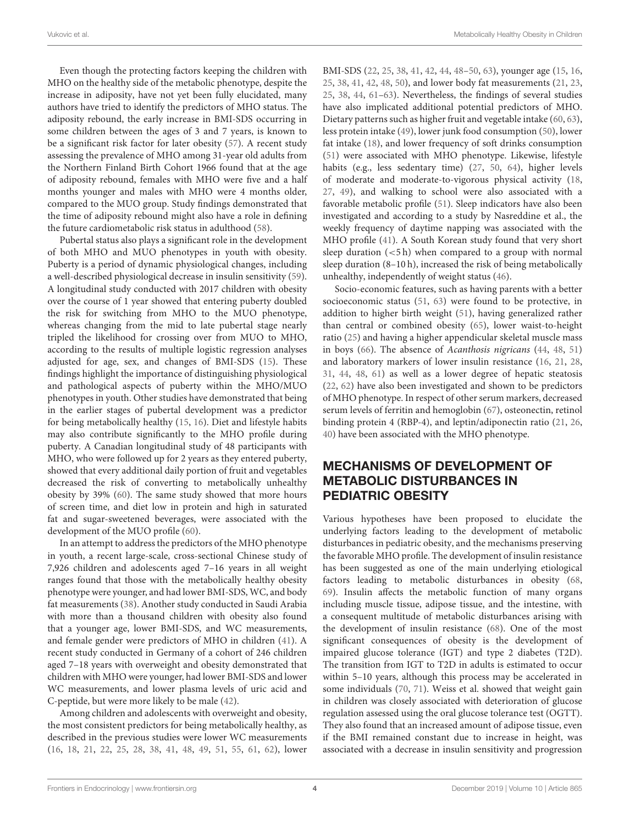Even though the protecting factors keeping the children with MHO on the healthy side of the metabolic phenotype, despite the increase in adiposity, have not yet been fully elucidated, many authors have tried to identify the predictors of MHO status. The adiposity rebound, the early increase in BMI-SDS occurring in some children between the ages of 3 and 7 years, is known to be a significant risk factor for later obesity [\(57\)](#page-8-0). A recent study assessing the prevalence of MHO among 31-year old adults from the Northern Finland Birth Cohort 1966 found that at the age of adiposity rebound, females with MHO were five and a half months younger and males with MHO were 4 months older, compared to the MUO group. Study findings demonstrated that the time of adiposity rebound might also have a role in defining the future cardiometabolic risk status in adulthood [\(58\)](#page-8-1).

Pubertal status also plays a significant role in the development of both MHO and MUO phenotypes in youth with obesity. Puberty is a period of dynamic physiological changes, including a well-described physiological decrease in insulin sensitivity [\(59\)](#page-8-2). A longitudinal study conducted with 2017 children with obesity over the course of 1 year showed that entering puberty doubled the risk for switching from MHO to the MUO phenotype, whereas changing from the mid to late pubertal stage nearly tripled the likelihood for crossing over from MUO to MHO, according to the results of multiple logistic regression analyses adjusted for age, sex, and changes of BMI-SDS [\(15\)](#page-6-15). These findings highlight the importance of distinguishing physiological and pathological aspects of puberty within the MHO/MUO phenotypes in youth. Other studies have demonstrated that being in the earlier stages of pubertal development was a predictor for being metabolically healthy [\(15,](#page-6-15) [16\)](#page-6-13). Diet and lifestyle habits may also contribute significantly to the MHO profile during puberty. A Canadian longitudinal study of 48 participants with MHO, who were followed up for 2 years as they entered puberty, showed that every additional daily portion of fruit and vegetables decreased the risk of converting to metabolically unhealthy obesity by 39% [\(60\)](#page-8-3). The same study showed that more hours of screen time, and diet low in protein and high in saturated fat and sugar-sweetened beverages, were associated with the development of the MUO profile [\(60\)](#page-8-3).

In an attempt to address the predictors of the MHO phenotype in youth, a recent large-scale, cross-sectional Chinese study of 7,926 children and adolescents aged 7–16 years in all weight ranges found that those with the metabolically healthy obesity phenotype were younger, and had lower BMI-SDS, WC, and body fat measurements [\(38\)](#page-7-11). Another study conducted in Saudi Arabia with more than a thousand children with obesity also found that a younger age, lower BMI-SDS, and WC measurements, and female gender were predictors of MHO in children [\(41\)](#page-7-13). A recent study conducted in Germany of a cohort of 246 children aged 7–18 years with overweight and obesity demonstrated that children with MHO were younger, had lower BMI-SDS and lower WC measurements, and lower plasma levels of uric acid and C-peptide, but were more likely to be male [\(42\)](#page-7-14).

Among children and adolescents with overweight and obesity, the most consistent predictors for being metabolically healthy, as described in the previous studies were lower WC measurements [\(16,](#page-6-13) [18,](#page-6-9) [21,](#page-6-14) [22,](#page-7-7) [25,](#page-7-1) [28,](#page-7-3) [38,](#page-7-11) [41,](#page-7-13) [48,](#page-7-15) [49,](#page-7-16) [51,](#page-7-17) [55,](#page-7-18) [61,](#page-8-4) [62\)](#page-8-5), lower BMI-SDS [\(22,](#page-7-7) [25,](#page-7-1) [38,](#page-7-11) [41,](#page-7-13) [42,](#page-7-14) [44,](#page-7-19) [48](#page-7-15)[–50,](#page-7-20) [63\)](#page-8-6), younger age [\(15,](#page-6-15) [16,](#page-6-13) [25,](#page-7-1) [38,](#page-7-11) [41,](#page-7-13) [42,](#page-7-14) [48,](#page-7-15) [50\)](#page-7-20), and lower body fat measurements [\(21,](#page-6-14) [23,](#page-7-21) [25,](#page-7-1) [38,](#page-7-11) [44,](#page-7-19) [61–](#page-8-4)[63\)](#page-8-6). Nevertheless, the findings of several studies have also implicated additional potential predictors of MHO. Dietary patterns such as higher fruit and vegetable intake [\(60,](#page-8-3) [63\)](#page-8-6), less protein intake [\(49\)](#page-7-16), lower junk food consumption [\(50\)](#page-7-20), lower fat intake [\(18\)](#page-6-9), and lower frequency of soft drinks consumption [\(51\)](#page-7-17) were associated with MHO phenotype. Likewise, lifestyle habits (e.g., less sedentary time) [\(27,](#page-7-2) [50,](#page-7-20) [64\)](#page-8-7), higher levels of moderate and moderate-to-vigorous physical activity [\(18,](#page-6-9) [27,](#page-7-2) [49\)](#page-7-16), and walking to school were also associated with a favorable metabolic profile [\(51\)](#page-7-17). Sleep indicators have also been investigated and according to a study by Nasreddine et al., the weekly frequency of daytime napping was associated with the MHO profile [\(41\)](#page-7-13). A South Korean study found that very short sleep duration  $\left($  <5 h) when compared to a group with normal sleep duration (8–10 h), increased the risk of being metabolically unhealthy, independently of weight status [\(46\)](#page-7-22).

Socio-economic features, such as having parents with a better socioeconomic status [\(51,](#page-7-17) [63\)](#page-8-6) were found to be protective, in addition to higher birth weight [\(51\)](#page-7-17), having generalized rather than central or combined obesity [\(65\)](#page-8-8), lower waist-to-height ratio [\(25\)](#page-7-1) and having a higher appendicular skeletal muscle mass in boys [\(66\)](#page-8-9). The absence of Acanthosis nigricans [\(44,](#page-7-19) [48,](#page-7-15) [51\)](#page-7-17) and laboratory markers of lower insulin resistance [\(16,](#page-6-13) [21,](#page-6-14) [28,](#page-7-3) [31,](#page-7-6) [44,](#page-7-19) [48,](#page-7-15) [61\)](#page-8-4) as well as a lower degree of hepatic steatosis [\(22,](#page-7-7) [62\)](#page-8-5) have also been investigated and shown to be predictors of MHO phenotype. In respect of other serum markers, decreased serum levels of ferritin and hemoglobin [\(67\)](#page-8-10), osteonectin, retinol binding protein 4 (RBP-4), and leptin/adiponectin ratio [\(21,](#page-6-14) [26,](#page-7-23) [40\)](#page-7-24) have been associated with the MHO phenotype.

# MECHANISMS OF DEVELOPMENT OF METABOLIC DISTURBANCES IN PEDIATRIC OBESITY

Various hypotheses have been proposed to elucidate the underlying factors leading to the development of metabolic disturbances in pediatric obesity, and the mechanisms preserving the favorable MHO profile. The development of insulin resistance has been suggested as one of the main underlying etiological factors leading to metabolic disturbances in obesity [\(68,](#page-8-11) [69\)](#page-8-12). Insulin affects the metabolic function of many organs including muscle tissue, adipose tissue, and the intestine, with a consequent multitude of metabolic disturbances arising with the development of insulin resistance [\(68\)](#page-8-11). One of the most significant consequences of obesity is the development of impaired glucose tolerance (IGT) and type 2 diabetes (T2D). The transition from IGT to T2D in adults is estimated to occur within 5–10 years, although this process may be accelerated in some individuals [\(70,](#page-8-13) [71\)](#page-8-14). Weiss et al. showed that weight gain in children was closely associated with deterioration of glucose regulation assessed using the oral glucose tolerance test (OGTT). They also found that an increased amount of adipose tissue, even if the BMI remained constant due to increase in height, was associated with a decrease in insulin sensitivity and progression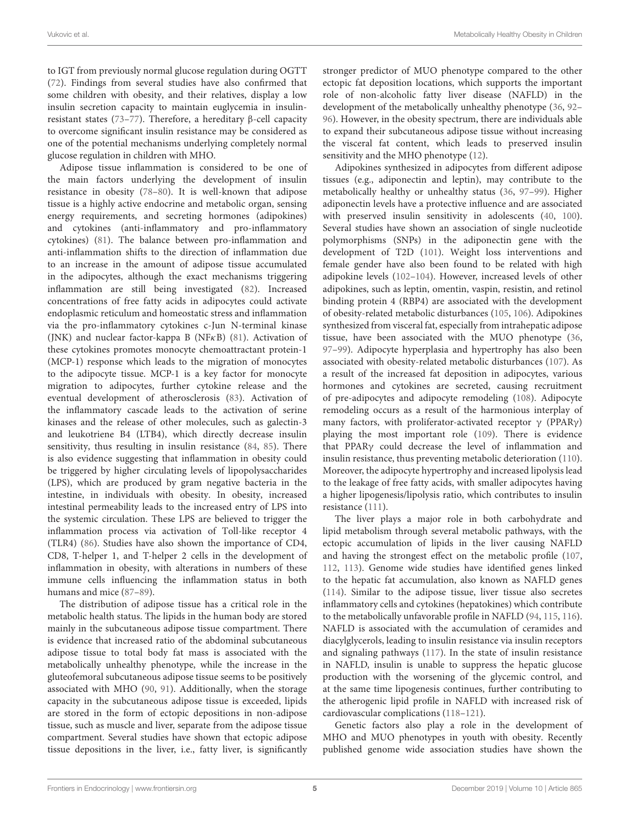to IGT from previously normal glucose regulation during OGTT [\(72\)](#page-8-15). Findings from several studies have also confirmed that some children with obesity, and their relatives, display a low insulin secretion capacity to maintain euglycemia in insulinresistant states [\(73](#page-8-16)[–77\)](#page-8-17). Therefore, a hereditary β-cell capacity to overcome significant insulin resistance may be considered as one of the potential mechanisms underlying completely normal glucose regulation in children with MHO.

Adipose tissue inflammation is considered to be one of the main factors underlying the development of insulin resistance in obesity [\(78](#page-8-18)[–80\)](#page-8-19). It is well-known that adipose tissue is a highly active endocrine and metabolic organ, sensing energy requirements, and secreting hormones (adipokines) and cytokines (anti-inflammatory and pro-inflammatory cytokines) [\(81\)](#page-8-20). The balance between pro-inflammation and anti-inflammation shifts to the direction of inflammation due to an increase in the amount of adipose tissue accumulated in the adipocytes, although the exact mechanisms triggering inflammation are still being investigated [\(82\)](#page-8-21). Increased concentrations of free fatty acids in adipocytes could activate endoplasmic reticulum and homeostatic stress and inflammation via the pro-inflammatory cytokines c-Jun N-terminal kinase (JNK) and nuclear factor-kappa B (NF $\kappa$ B) [\(81\)](#page-8-20). Activation of these cytokines promotes monocyte chemoattractant protein-1 (MCP-1) response which leads to the migration of monocytes to the adipocyte tissue. MCP-1 is a key factor for monocyte migration to adipocytes, further cytokine release and the eventual development of atherosclerosis [\(83\)](#page-8-22). Activation of the inflammatory cascade leads to the activation of serine kinases and the release of other molecules, such as galectin-3 and leukotriene B4 (LTB4), which directly decrease insulin sensitivity, thus resulting in insulin resistance [\(84,](#page-8-23) [85\)](#page-8-24). There is also evidence suggesting that inflammation in obesity could be triggered by higher circulating levels of lipopolysaccharides (LPS), which are produced by gram negative bacteria in the intestine, in individuals with obesity. In obesity, increased intestinal permeability leads to the increased entry of LPS into the systemic circulation. These LPS are believed to trigger the inflammation process via activation of Toll-like receptor 4 (TLR4) [\(86\)](#page-8-25). Studies have also shown the importance of CD4, CD8, T-helper 1, and T-helper 2 cells in the development of inflammation in obesity, with alterations in numbers of these immune cells influencing the inflammation status in both humans and mice [\(87–](#page-8-26)[89\)](#page-8-27).

The distribution of adipose tissue has a critical role in the metabolic health status. The lipids in the human body are stored mainly in the subcutaneous adipose tissue compartment. There is evidence that increased ratio of the abdominal subcutaneous adipose tissue to total body fat mass is associated with the metabolically unhealthy phenotype, while the increase in the gluteofemoral subcutaneous adipose tissue seems to be positively associated with MHO [\(90,](#page-8-28) [91\)](#page-8-29). Additionally, when the storage capacity in the subcutaneous adipose tissue is exceeded, lipids are stored in the form of ectopic depositions in non-adipose tissue, such as muscle and liver, separate from the adipose tissue compartment. Several studies have shown that ectopic adipose tissue depositions in the liver, i.e., fatty liver, is significantly stronger predictor of MUO phenotype compared to the other ectopic fat deposition locations, which supports the important role of non-alcoholic fatty liver disease (NAFLD) in the development of the metabolically unhealthy phenotype [\(36,](#page-7-9) [92–](#page-8-30) [96\)](#page-9-0). However, in the obesity spectrum, there are individuals able to expand their subcutaneous adipose tissue without increasing the visceral fat content, which leads to preserved insulin sensitivity and the MHO phenotype [\(12\)](#page-6-16).

Adipokines synthesized in adipocytes from different adipose tissues (e.g., adiponectin and leptin), may contribute to the metabolically healthy or unhealthy status [\(36,](#page-7-9) [97](#page-9-1)[–99\)](#page-9-2). Higher adiponectin levels have a protective influence and are associated with preserved insulin sensitivity in adolescents [\(40,](#page-7-24) [100\)](#page-9-3). Several studies have shown an association of single nucleotide polymorphisms (SNPs) in the adiponectin gene with the development of T2D [\(101\)](#page-9-4). Weight loss interventions and female gender have also been found to be related with high adipokine levels [\(102–](#page-9-5)[104\)](#page-9-6). However, increased levels of other adipokines, such as leptin, omentin, vaspin, resistin, and retinol binding protein 4 (RBP4) are associated with the development of obesity-related metabolic disturbances [\(105,](#page-9-7) [106\)](#page-9-8). Adipokines synthesized from visceral fat, especially from intrahepatic adipose tissue, have been associated with the MUO phenotype [\(36,](#page-7-9) [97](#page-9-1)[–99\)](#page-9-2). Adipocyte hyperplasia and hypertrophy has also been associated with obesity-related metabolic disturbances [\(107\)](#page-9-9). As a result of the increased fat deposition in adipocytes, various hormones and cytokines are secreted, causing recruitment of pre-adipocytes and adipocyte remodeling [\(108\)](#page-9-10). Adipocyte remodeling occurs as a result of the harmonious interplay of many factors, with proliferator-activated receptor  $\gamma$  (PPAR $\gamma$ ) playing the most important role [\(109\)](#page-9-11). There is evidence that PPARγ could decrease the level of inflammation and insulin resistance, thus preventing metabolic deterioration [\(110\)](#page-9-12). Moreover, the adipocyte hypertrophy and increased lipolysis lead to the leakage of free fatty acids, with smaller adipocytes having a higher lipogenesis/lipolysis ratio, which contributes to insulin resistance [\(111\)](#page-9-13).

The liver plays a major role in both carbohydrate and lipid metabolism through several metabolic pathways, with the ectopic accumulation of lipids in the liver causing NAFLD and having the strongest effect on the metabolic profile [\(107,](#page-9-9) [112,](#page-9-14) [113\)](#page-9-15). Genome wide studies have identified genes linked to the hepatic fat accumulation, also known as NAFLD genes [\(114\)](#page-9-16). Similar to the adipose tissue, liver tissue also secretes inflammatory cells and cytokines (hepatokines) which contribute to the metabolically unfavorable profile in NAFLD [\(94,](#page-8-31) [115,](#page-9-17) [116\)](#page-9-18). NAFLD is associated with the accumulation of ceramides and diacylglycerols, leading to insulin resistance via insulin receptors and signaling pathways [\(117\)](#page-9-19). In the state of insulin resistance in NAFLD, insulin is unable to suppress the hepatic glucose production with the worsening of the glycemic control, and at the same time lipogenesis continues, further contributing to the atherogenic lipid profile in NAFLD with increased risk of cardiovascular complications [\(118](#page-9-20)[–121\)](#page-9-21).

Genetic factors also play a role in the development of MHO and MUO phenotypes in youth with obesity. Recently published genome wide association studies have shown the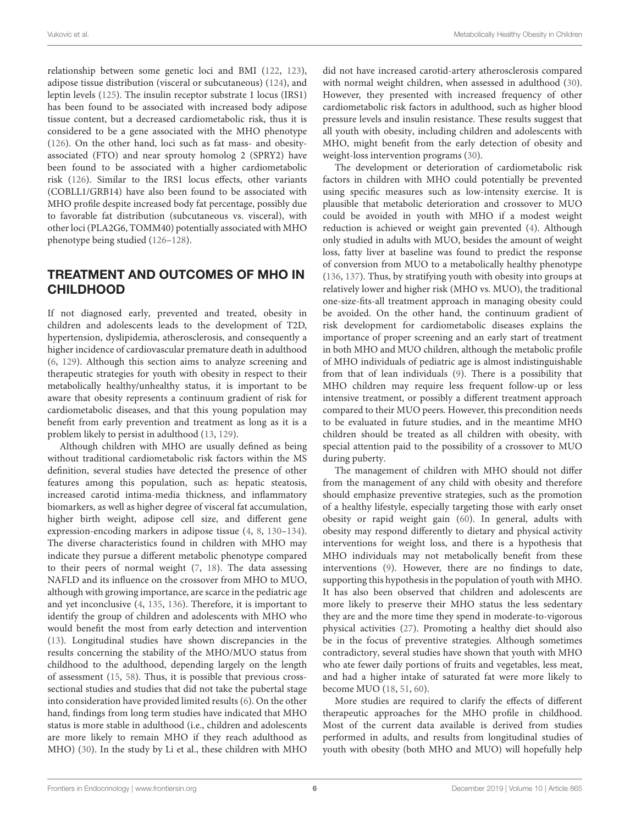relationship between some genetic loci and BMI [\(122,](#page-9-22) [123\)](#page-9-23), adipose tissue distribution (visceral or subcutaneous) [\(124\)](#page-9-24), and leptin levels [\(125\)](#page-9-25). The insulin receptor substrate 1 locus (IRS1) has been found to be associated with increased body adipose tissue content, but a decreased cardiometabolic risk, thus it is considered to be a gene associated with the MHO phenotype [\(126\)](#page-9-26). On the other hand, loci such as fat mass- and obesityassociated (FTO) and near sprouty homolog 2 (SPRY2) have been found to be associated with a higher cardiometabolic risk [\(126\)](#page-9-26). Similar to the IRS1 locus effects, other variants (COBLL1/GRB14) have also been found to be associated with MHO profile despite increased body fat percentage, possibly due to favorable fat distribution (subcutaneous vs. visceral), with other loci (PLA2G6, TOMM40) potentially associated with MHO phenotype being studied [\(126](#page-9-26)[–128\)](#page-9-27).

# TREATMENT AND OUTCOMES OF MHO IN **CHILDHOOD**

If not diagnosed early, prevented and treated, obesity in children and adolescents leads to the development of T2D, hypertension, dyslipidemia, atherosclerosis, and consequently a higher incidence of cardiovascular premature death in adulthood [\(6,](#page-6-3) [129\)](#page-9-28). Although this section aims to analyze screening and therapeutic strategies for youth with obesity in respect to their metabolically healthy/unhealthy status, it is important to be aware that obesity represents a continuum gradient of risk for cardiometabolic diseases, and that this young population may benefit from early prevention and treatment as long as it is a problem likely to persist in adulthood [\(13,](#page-6-7) [129\)](#page-9-28).

Although children with MHO are usually defined as being without traditional cardiometabolic risk factors within the MS definition, several studies have detected the presence of other features among this population, such as: hepatic steatosis, increased carotid intima-media thickness, and inflammatory biomarkers, as well as higher degree of visceral fat accumulation, higher birth weight, adipose cell size, and different gene expression-encoding markers in adipose tissue [\(4,](#page-6-1) [8,](#page-6-5) [130](#page-9-29)[–134\)](#page-9-30). The diverse characteristics found in children with MHO may indicate they pursue a different metabolic phenotype compared to their peers of normal weight [\(7,](#page-6-4) [18\)](#page-6-9). The data assessing NAFLD and its influence on the crossover from MHO to MUO, although with growing importance, are scarce in the pediatric age and yet inconclusive [\(4,](#page-6-1) [135,](#page-9-31) [136\)](#page-10-0). Therefore, it is important to identify the group of children and adolescents with MHO who would benefit the most from early detection and intervention [\(13\)](#page-6-7). Longitudinal studies have shown discrepancies in the results concerning the stability of the MHO/MUO status from childhood to the adulthood, depending largely on the length of assessment [\(15,](#page-6-15) [58\)](#page-8-1). Thus, it is possible that previous crosssectional studies and studies that did not take the pubertal stage into consideration have provided limited results [\(6\)](#page-6-3). On the other hand, findings from long term studies have indicated that MHO status is more stable in adulthood (i.e., children and adolescents are more likely to remain MHO if they reach adulthood as MHO) [\(30\)](#page-7-5). In the study by Li et al., these children with MHO did not have increased carotid-artery atherosclerosis compared with normal weight children, when assessed in adulthood [\(30\)](#page-7-5). However, they presented with increased frequency of other cardiometabolic risk factors in adulthood, such as higher blood pressure levels and insulin resistance. These results suggest that all youth with obesity, including children and adolescents with MHO, might benefit from the early detection of obesity and weight-loss intervention programs [\(30\)](#page-7-5).

The development or deterioration of cardiometabolic risk factors in children with MHO could potentially be prevented using specific measures such as low-intensity exercise. It is plausible that metabolic deterioration and crossover to MUO could be avoided in youth with MHO if a modest weight reduction is achieved or weight gain prevented [\(4\)](#page-6-1). Although only studied in adults with MUO, besides the amount of weight loss, fatty liver at baseline was found to predict the response of conversion from MUO to a metabolically healthy phenotype [\(136,](#page-10-0) [137\)](#page-10-1). Thus, by stratifying youth with obesity into groups at relatively lower and higher risk (MHO vs. MUO), the traditional one-size-fits-all treatment approach in managing obesity could be avoided. On the other hand, the continuum gradient of risk development for cardiometabolic diseases explains the importance of proper screening and an early start of treatment in both MHO and MUO children, although the metabolic profile of MHO individuals of pediatric age is almost indistinguishable from that of lean individuals [\(9\)](#page-6-6). There is a possibility that MHO children may require less frequent follow-up or less intensive treatment, or possibly a different treatment approach compared to their MUO peers. However, this precondition needs to be evaluated in future studies, and in the meantime MHO children should be treated as all children with obesity, with special attention paid to the possibility of a crossover to MUO during puberty.

The management of children with MHO should not differ from the management of any child with obesity and therefore should emphasize preventive strategies, such as the promotion of a healthy lifestyle, especially targeting those with early onset obesity or rapid weight gain [\(60\)](#page-8-3). In general, adults with obesity may respond differently to dietary and physical activity interventions for weight loss, and there is a hypothesis that MHO individuals may not metabolically benefit from these interventions [\(9\)](#page-6-6). However, there are no findings to date, supporting this hypothesis in the population of youth with MHO. It has also been observed that children and adolescents are more likely to preserve their MHO status the less sedentary they are and the more time they spend in moderate-to-vigorous physical activities [\(27\)](#page-7-2). Promoting a healthy diet should also be in the focus of preventive strategies. Although sometimes contradictory, several studies have shown that youth with MHO who ate fewer daily portions of fruits and vegetables, less meat, and had a higher intake of saturated fat were more likely to become MUO [\(18,](#page-6-9) [51,](#page-7-17) [60\)](#page-8-3).

More studies are required to clarify the effects of different therapeutic approaches for the MHO profile in childhood. Most of the current data available is derived from studies performed in adults, and results from longitudinal studies of youth with obesity (both MHO and MUO) will hopefully help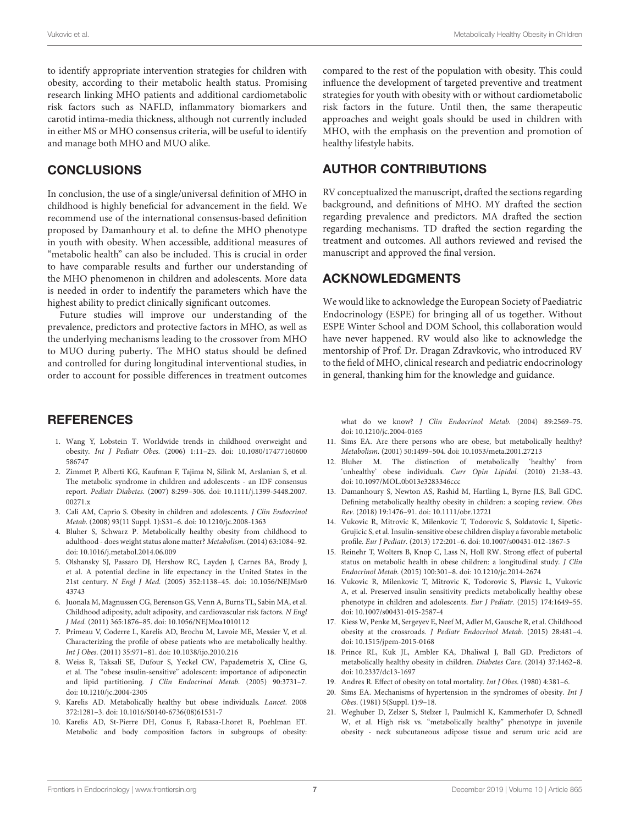to identify appropriate intervention strategies for children with obesity, according to their metabolic health status. Promising research linking MHO patients and additional cardiometabolic risk factors such as NAFLD, inflammatory biomarkers and carotid intima-media thickness, although not currently included in either MS or MHO consensus criteria, will be useful to identify and manage both MHO and MUO alike.

#### **CONCLUSIONS**

In conclusion, the use of a single/universal definition of MHO in childhood is highly beneficial for advancement in the field. We recommend use of the international consensus-based definition proposed by Damanhoury et al. to define the MHO phenotype in youth with obesity. When accessible, additional measures of "metabolic health" can also be included. This is crucial in order to have comparable results and further our understanding of the MHO phenomenon in children and adolescents. More data is needed in order to indentify the parameters which have the highest ability to predict clinically significant outcomes.

Future studies will improve our understanding of the prevalence, predictors and protective factors in MHO, as well as the underlying mechanisms leading to the crossover from MHO to MUO during puberty. The MHO status should be defined and controlled for during longitudinal interventional studies, in order to account for possible differences in treatment outcomes

#### **REFERENCES**

- <span id="page-6-0"></span>1. Wang Y, Lobstein T. Worldwide trends in childhood overweight and obesity. Int J Pediatr Obes. [\(2006\) 1:11–25. doi: 10.1080/17477160600](https://doi.org/10.1080/17477160600586747) 586747
- <span id="page-6-2"></span>2. Zimmet P, Alberti KG, Kaufman F, Tajima N, Silink M, Arslanian S, et al. The metabolic syndrome in children and adolescents - an IDF consensus report. Pediatr Diabetes. [\(2007\) 8:299–306. doi: 10.1111/j.1399-5448.2007.](https://doi.org/10.1111/j.1399-5448.2007.00271.x) 00271.x
- 3. Cali AM, Caprio S. Obesity in children and adolescents. J Clin Endocrinol Metab. (2008) 93(11 Suppl. 1):S31–6. doi: [10.1210/jc.2008-1363](https://doi.org/10.1210/jc.2008-1363)
- <span id="page-6-1"></span>4. Bluher S, Schwarz P. Metabolically healthy obesity from childhood to adulthood - does weight status alone matter? Metabolism. (2014) 63:1084–92. doi: [10.1016/j.metabol.2014.06.009](https://doi.org/10.1016/j.metabol.2014.06.009)
- 5. Olshansky SJ, Passaro DJ, Hershow RC, Layden J, Carnes BA, Brody J, et al. A potential decline in life expectancy in the United States in the 21st century. N Engl J Med. [\(2005\) 352:1138–45. doi: 10.1056/NEJMsr0](https://doi.org/10.1056/NEJMsr043743) 43743
- <span id="page-6-3"></span>6. Juonala M, Magnussen CG, Berenson GS, Venn A, Burns TL, Sabin MA, et al. Childhood adiposity, adult adiposity, and cardiovascular risk factors. N Engl J Med. (2011) 365:1876–85. doi: [10.1056/NEJMoa1010112](https://doi.org/10.1056/NEJMoa1010112)
- <span id="page-6-4"></span>7. Primeau V, Coderre L, Karelis AD, Brochu M, Lavoie ME, Messier V, et al. Characterizing the profile of obese patients who are metabolically healthy. Int J Obes. (2011) 35:971–81. doi: [10.1038/ijo.2010.216](https://doi.org/10.1038/ijo.2010.216)
- <span id="page-6-5"></span>8. Weiss R, Taksali SE, Dufour S, Yeckel CW, Papademetris X, Cline G, et al. The "obese insulin-sensitive" adolescent: importance of adiponectin and lipid partitioning. J Clin Endocrinol Metab. (2005) 90:3731–7. doi: [10.1210/jc.2004-2305](https://doi.org/10.1210/jc.2004-2305)
- <span id="page-6-6"></span>9. Karelis AD. Metabolically healthy but obese individuals. Lancet. 2008 372:1281–3. doi: [10.1016/S0140-6736\(08\)61531-7](https://doi.org/10.1016/S0140-6736(08)61531-7)
- 10. Karelis AD, St-Pierre DH, Conus F, Rabasa-Lhoret R, Poehlman ET. Metabolic and body composition factors in subgroups of obesity:

compared to the rest of the population with obesity. This could influence the development of targeted preventive and treatment strategies for youth with obesity with or without cardiometabolic risk factors in the future. Until then, the same therapeutic approaches and weight goals should be used in children with MHO, with the emphasis on the prevention and promotion of healthy lifestyle habits.

#### AUTHOR CONTRIBUTIONS

RV conceptualized the manuscript, drafted the sections regarding background, and definitions of MHO. MY drafted the section regarding prevalence and predictors. MA drafted the section regarding mechanisms. TD drafted the section regarding the treatment and outcomes. All authors reviewed and revised the manuscript and approved the final version.

#### ACKNOWLEDGMENTS

We would like to acknowledge the European Society of Paediatric Endocrinology (ESPE) for bringing all of us together. Without ESPE Winter School and DOM School, this collaboration would have never happened. RV would also like to acknowledge the mentorship of Prof. Dr. Dragan Zdravkovic, who introduced RV to the field of MHO, clinical research and pediatric endocrinology in general, thanking him for the knowledge and guidance.

what do we know? J Clin Endocrinol Metab. (2004) 89:2569–75. doi: [10.1210/jc.2004-0165](https://doi.org/10.1210/jc.2004-0165)

- 11. Sims EA. Are there persons who are obese, but metabolically healthy? Metabolism. (2001) 50:1499–504. doi: [10.1053/meta.2001.27213](https://doi.org/10.1053/meta.2001.27213)
- <span id="page-6-16"></span>12. Bluher M. The distinction of metabolically 'healthy' from 'unhealthy' obese individuals. Curr Opin Lipidol. (2010) 21:38-43. doi: [10.1097/MOL.0b013e3283346ccc](https://doi.org/10.1097/MOL.0b013e3283346ccc)
- <span id="page-6-7"></span>13. Damanhoury S, Newton AS, Rashid M, Hartling L, Byrne JLS, Ball GDC. Defining metabolically healthy obesity in children: a scoping review. Obes Rev. (2018) 19:1476–91. doi: [10.1111/obr.12721](https://doi.org/10.1111/obr.12721)
- <span id="page-6-12"></span>14. Vukovic R, Mitrovic K, Milenkovic T, Todorovic S, Soldatovic I, Sipetic-Grujicic S, et al. Insulin-sensitive obese children display a favorable metabolic profile. Eur J Pediatr. (2013) 172:201–6. doi: [10.1007/s00431-012-1867-5](https://doi.org/10.1007/s00431-012-1867-5)
- <span id="page-6-15"></span>15. Reinehr T, Wolters B, Knop C, Lass N, Holl RW. Strong effect of pubertal status on metabolic health in obese children: a longitudinal study. J Clin Endocrinol Metab. (2015) 100:301–8. doi: [10.1210/jc.2014-2674](https://doi.org/10.1210/jc.2014-2674)
- <span id="page-6-13"></span>16. Vukovic R, Milenkovic T, Mitrovic K, Todorovic S, Plavsic L, Vukovic A, et al. Preserved insulin sensitivity predicts metabolically healthy obese phenotype in children and adolescents. Eur J Pediatr. (2015) 174:1649–55. doi: [10.1007/s00431-015-2587-4](https://doi.org/10.1007/s00431-015-2587-4)
- <span id="page-6-8"></span>17. Kiess W, Penke M, Sergeyev E, Neef M, Adler M, Gausche R, et al. Childhood obesity at the crossroads. J Pediatr Endocrinol Metab. (2015) 28:481–4. doi: [10.1515/jpem-2015-0168](https://doi.org/10.1515/jpem-2015-0168)
- <span id="page-6-9"></span>18. Prince RL, Kuk JL, Ambler KA, Dhaliwal J, Ball GD. Predictors of metabolically healthy obesity in children. Diabetes Care. (2014) 37:1462–8. doi: [10.2337/dc13-1697](https://doi.org/10.2337/dc13-1697)
- <span id="page-6-10"></span>19. Andres R. Effect of obesity on total mortality. Int J Obes. (1980) 4:381–6.
- <span id="page-6-11"></span>20. Sims EA. Mechanisms of hypertension in the syndromes of obesity. Int J Obes. (1981) 5(Suppl. 1):9–18.
- <span id="page-6-14"></span>21. Weghuber D, Zelzer S, Stelzer I, Paulmichl K, Kammerhofer D, Schnedl W, et al. High risk vs. "metabolically healthy" phenotype in juvenile obesity - neck subcutaneous adipose tissue and serum uric acid are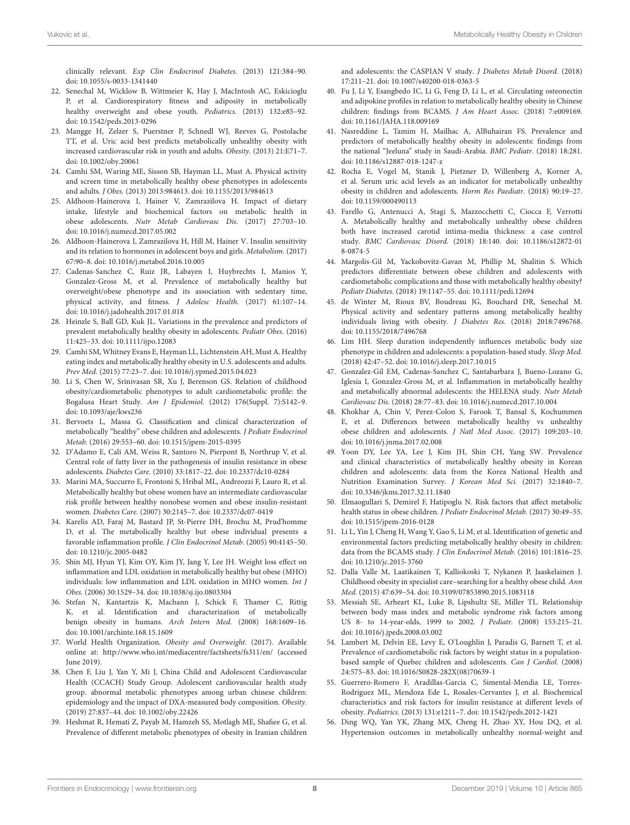clinically relevant. Exp Clin Endocrinol Diabetes. (2013) 121:384–90. doi: [10.1055/s-0033-1341440](https://doi.org/10.1055/s-0033-1341440)

- <span id="page-7-7"></span>22. Senechal M, Wicklow B, Wittmeier K, Hay J, MacIntosh AC, Eskicioglu P, et al. Cardiorespiratory fitness and adiposity in metabolically healthy overweight and obese youth. Pediatrics. (2013) 132:e85–92. doi: [10.1542/peds.2013-0296](https://doi.org/10.1542/peds.2013-0296)
- <span id="page-7-21"></span>23. Mangge H, Zelzer S, Puerstner P, Schnedl WJ, Reeves G, Postolache TT, et al. Uric acid best predicts metabolically unhealthy obesity with increased cardiovascular risk in youth and adults. Obesity. (2013) 21:E71–7. doi: [10.1002/oby.20061](https://doi.org/10.1002/oby.20061)
- <span id="page-7-0"></span>24. Camhi SM, Waring ME, Sisson SB, Hayman LL, Must A. Physical activity and screen time in metabolically healthy obese phenotypes in adolescents and adults. J Obes. (2013) 2013:984613. doi: [10.1155/2013/984613](https://doi.org/10.1155/2013/984613)
- <span id="page-7-1"></span>25. Aldhoon-Hainerova I, Hainer V, Zamrazilova H. Impact of dietary intake, lifestyle and biochemical factors on metabolic health in obese adolescents. Nutr Metab Cardiovasc Dis. (2017) 27:703–10. doi: [10.1016/j.numecd.2017.05.002](https://doi.org/10.1016/j.numecd.2017.05.002)
- <span id="page-7-23"></span>26. Aldhoon-Hainerova I, Zamrazilova H, Hill M, Hainer V. Insulin sensitivity and its relation to hormones in adolescent boys and girls. Metabolism. (2017) 67:90–8. doi: [10.1016/j.metabol.2016.10.005](https://doi.org/10.1016/j.metabol.2016.10.005)
- <span id="page-7-2"></span>27. Cadenas-Sanchez C, Ruiz JR, Labayen I, Huybrechts I, Manios Y, Gonzalez-Gross M, et al. Prevalence of metabolically healthy but overweight/obese phenotype and its association with sedentary time, physical activity, and fitness. J Adolesc Health. (2017) 61:107–14. doi: [10.1016/j.jadohealth.2017.01.018](https://doi.org/10.1016/j.jadohealth.2017.01.018)
- <span id="page-7-3"></span>28. Heinzle S, Ball GD, Kuk JL. Variations in the prevalence and predictors of prevalent metabolically healthy obesity in adolescents. Pediatr Obes. (2016) 11:425–33. doi: [10.1111/ijpo.12083](https://doi.org/10.1111/ijpo.12083)
- <span id="page-7-4"></span>29. Camhi SM, Whitney Evans E, Hayman LL, Lichtenstein AH, Must A. Healthy eating index and metabolically healthy obesity in U.S. adolescents and adults. Prev Med. (2015) 77:23–7. doi: [10.1016/j.ypmed.2015.04.023](https://doi.org/10.1016/j.ypmed.2015.04.023)
- <span id="page-7-5"></span>30. Li S, Chen W, Srinivasan SR, Xu J, Berenson GS. Relation of childhood obesity/cardiometabolic phenotypes to adult cardiometabolic profile: the Bogalusa Heart Study. Am J Epidemiol. (2012) 176(Suppl. 7):S142–9. doi: [10.1093/aje/kws236](https://doi.org/10.1093/aje/kws236)
- <span id="page-7-6"></span>31. Bervoets L, Massa G. Classification and clinical characterization of metabolically "healthy" obese children and adolescents. J Pediatr Endocrinol Metab. (2016) 29:553–60. doi: [10.1515/jpem-2015-0395](https://doi.org/10.1515/jpem-2015-0395)
- <span id="page-7-8"></span>32. D'Adamo E, Cali AM, Weiss R, Santoro N, Pierpont B, Northrup V, et al. Central role of fatty liver in the pathogenesis of insulin resistance in obese adolescents. Diabetes Care. (2010) 33:1817–22. doi: [10.2337/dc10-0284](https://doi.org/10.2337/dc10-0284)
- 33. Marini MA, Succurro E, Frontoni S, Hribal ML, Andreozzi F, Lauro R, et al. Metabolically healthy but obese women have an intermediate cardiovascular risk profile between healthy nonobese women and obese insulin-resistant women. Diabetes Care. (2007) 30:2145–7. doi: [10.2337/dc07-0419](https://doi.org/10.2337/dc07-0419)
- 34. Karelis AD, Faraj M, Bastard JP, St-Pierre DH, Brochu M, Prud'homme D, et al. The metabolically healthy but obese individual presents a favorable inflammation profile. J Clin Endocrinol Metab. (2005) 90:4145–50. doi: [10.1210/jc.2005-0482](https://doi.org/10.1210/jc.2005-0482)
- 35. Shin MJ, Hyun YJ, Kim OY, Kim JY, Jang Y, Lee JH. Weight loss effect on inflammation and LDL oxidation in metabolically healthy but obese (MHO) individuals: low inflammation and LDL oxidation in MHO women. Int J Obes. (2006) 30:1529–34. doi: [10.1038/sj.ijo.0803304](https://doi.org/10.1038/sj.ijo.0803304)
- <span id="page-7-9"></span>36. Stefan N, Kantartzis K, Machann J, Schick F, Thamer C, Rittig K, et al. Identification and characterization of metabolically benign obesity in humans. Arch Intern Med. (2008) 168:1609–16. doi: [10.1001/archinte.168.15.1609](https://doi.org/10.1001/archinte.168.15.1609)
- <span id="page-7-10"></span>37. World Health Organization. Obesity and Overweight. (2017). Available online at:<http://www.who.int/mediacentre/factsheets/fs311/en/> (accessed June 2019).
- <span id="page-7-11"></span>38. Chen F, Liu J, Yan Y, Mi J, China Child and Adolescent Cardiovascular Health (CCACH) Study Group. Adolescent cardiovascular health study group. abnormal metabolic phenotypes among urban chinese children: epidemiology and the impact of DXA-measured body composition. Obesity. (2019) 27:837–44. doi: [10.1002/oby.22426](https://doi.org/10.1002/oby.22426)
- 39. Heshmat R, Hemati Z, Payab M, Hamzeh SS, Motlagh ME, Shafiee G, et al. Prevalence of different metabolic phenotypes of obesity in Iranian children

and adolescents: the CASPIAN V study. J Diabetes Metab Disord. (2018) 17:211–21. doi: [10.1007/s40200-018-0363-5](https://doi.org/10.1007/s40200-018-0363-5)

- <span id="page-7-24"></span>40. Fu J, Li Y, Esangbedo IC, Li G, Feng D, Li L, et al. Circulating osteonectin and adipokine profiles in relation to metabolically healthy obesity in Chinese children: findings from BCAMS. J Am Heart Assoc. (2018) 7:e009169. doi: [10.1161/JAHA.118.009169](https://doi.org/10.1161/JAHA.118.009169)
- <span id="page-7-13"></span>41. Nasreddine L, Tamim H, Mailhac A, AlBuhairan FS. Prevalence and predictors of metabolically healthy obesity in adolescents: findings from the national "Jeeluna" study in Saudi-Arabia. BMC Pediatr. (2018) 18:281. doi: [10.1186/s12887-018-1247-z](https://doi.org/10.1186/s12887-018-1247-z)
- <span id="page-7-14"></span>42. Rocha E, Vogel M, Stanik J, Pietzner D, Willenberg A, Korner A, et al. Serum uric acid levels as an indicator for metabolically unhealthy obesity in children and adolescents. Horm Res Paediatr. (2018) 90:19–27. doi: [10.1159/000490113](https://doi.org/10.1159/000490113)
- 43. Farello G, Antenucci A, Stagi S, Mazzocchetti C, Ciocca F, Verrotti A. Metabolically healthy and metabolically unhealthy obese children both have increased carotid intima-media thickness: a case control study. BMC Cardiovasc Disord. [\(2018\) 18:140. doi: 10.1186/s12872-01](https://doi.org/10.1186/s12872-018-0874-5) 8-0874-5
- <span id="page-7-19"></span>44. Margolis-Gil M, Yackobovitz-Gavan M, Phillip M, Shalitin S. Which predictors differentiate between obese children and adolescents with cardiometabolic complications and those with metabolically healthy obesity? Pediatr Diabetes. (2018) 19:1147–55. doi: [10.1111/pedi.12694](https://doi.org/10.1111/pedi.12694)
- 45. de Winter M, Rioux BV, Boudreau JG, Bouchard DR, Senechal M. Physical activity and sedentary patterns among metabolically healthy individuals living with obesity. J Diabetes Res. (2018) 2018:7496768. doi: [10.1155/2018/7496768](https://doi.org/10.1155/2018/7496768)
- <span id="page-7-22"></span>46. Lim HH. Sleep duration independently influences metabolic body size phenotype in children and adolescents: a population-based study. Sleep Med. (2018) 42:47–52. doi: [10.1016/j.sleep.2017.10.015](https://doi.org/10.1016/j.sleep.2017.10.015)
- 47. Gonzalez-Gil EM, Cadenas-Sanchez C, Santabarbara J, Bueno-Lozano G, Iglesia I, Gonzalez-Gross M, et al. Inflammation in metabolically healthy and metabolically abnormal adolescents: the HELENA study. Nutr Metab Cardiovasc Dis. (2018) 28:77–83. doi: [10.1016/j.numecd.2017.10.004](https://doi.org/10.1016/j.numecd.2017.10.004)
- <span id="page-7-15"></span>48. Khokhar A, Chin V, Perez-Colon S, Farook T, Bansal S, Kochummen E, et al. Differences between metabolically healthy vs unhealthy obese children and adolescents. J Natl Med Assoc. (2017) 109:203–10. doi: [10.1016/j.jnma.2017.02.008](https://doi.org/10.1016/j.jnma.2017.02.008)
- <span id="page-7-16"></span>49. Yoon DY, Lee YA, Lee J, Kim JH, Shin CH, Yang SW. Prevalence and clinical characteristics of metabolically healthy obesity in Korean children and adolescents: data from the Korea National Health and Nutrition Examination Survey. J Korean Med Sci. (2017) 32:1840–7. doi: [10.3346/jkms.2017.32.11.1840](https://doi.org/10.3346/jkms.2017.32.11.1840)
- <span id="page-7-20"></span>50. Elmaogullari S, Demirel F, Hatipoglu N. Risk factors that affect metabolic health status in obese children. J Pediatr Endocrinol Metab. (2017) 30:49–55. doi: [10.1515/jpem-2016-0128](https://doi.org/10.1515/jpem-2016-0128)
- <span id="page-7-17"></span>51. Li L, Yin J, Cheng H, Wang Y, Gao S, Li M, et al. Identification of genetic and environmental factors predicting metabolically healthy obesity in children: data from the BCAMS study. J Clin Endocrinol Metab. (2016) 101:1816–25. doi: [10.1210/jc.2015-3760](https://doi.org/10.1210/jc.2015-3760)
- 52. Dalla Valle M, Laatikainen T, Kalliokoski T, Nykanen P, Jaaskelainen J. Childhood obesity in specialist care–searching for a healthy obese child. Ann Med. (2015) 47:639–54. doi: [10.3109/07853890.2015.1083118](https://doi.org/10.3109/07853890.2015.1083118)
- 53. Messiah SE, Arheart KL, Luke B, Lipshultz SE, Miller TL. Relationship between body mass index and metabolic syndrome risk factors among US 8- to 14-year-olds, 1999 to 2002. J Pediatr. (2008) 153:215–21. doi: [10.1016/j.jpeds.2008.03.002](https://doi.org/10.1016/j.jpeds.2008.03.002)
- 54. Lambert M, Delvin EE, Levy E, O'Loughlin J, Paradis G, Barnett T, et al. Prevalence of cardiometabolic risk factors by weight status in a populationbased sample of Quebec children and adolescents. Can J Cardiol. (2008) 24:575–83. doi: [10.1016/S0828-282X\(08\)70639-1](https://doi.org/10.1016/S0828-282X(08)70639-1)
- <span id="page-7-18"></span>55. Guerrero-Romero F, Aradillas-Garcia C, Simental-Mendia LE, Torres-Rodriguez ML, Mendoza Ede L, Rosales-Cervantes J, et al. Biochemical characteristics and risk factors for insulin resistance at different levels of obesity. Pediatrics. (2013) 131:e1211–7. doi: [10.1542/peds.2012-1421](https://doi.org/10.1542/peds.2012-1421)
- <span id="page-7-12"></span>56. Ding WQ, Yan YK, Zhang MX, Cheng H, Zhao XY, Hou DQ, et al. Hypertension outcomes in metabolically unhealthy normal-weight and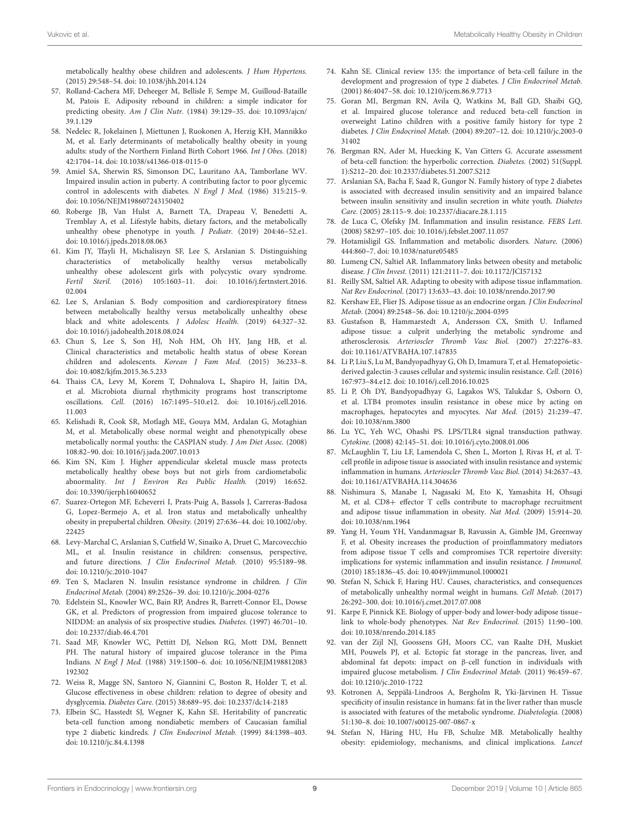metabolically healthy obese children and adolescents. J Hum Hypertens. (2015) 29:548–54. doi: [10.1038/jhh.2014.124](https://doi.org/10.1038/jhh.2014.124)

- <span id="page-8-0"></span>57. Rolland-Cachera MF, Deheeger M, Bellisle F, Sempe M, Guilloud-Bataille M, Patois E. Adiposity rebound in children: a simple indicator for predicting obesity. Am J Clin Nutr. [\(1984\) 39:129–35. doi: 10.1093/ajcn/](https://doi.org/10.1093/ajcn/39.1.129) 39.1.129
- <span id="page-8-1"></span>58. Nedelec R, Jokelainen J, Miettunen J, Ruokonen A, Herzig KH, Mannikko M, et al. Early determinants of metabolically healthy obesity in young adults: study of the Northern Finland Birth Cohort 1966. Int J Obes. (2018) 42:1704–14. doi: [10.1038/s41366-018-0115-0](https://doi.org/10.1038/s41366-018-0115-0)
- <span id="page-8-2"></span>59. Amiel SA, Sherwin RS, Simonson DC, Lauritano AA, Tamborlane WV. Impaired insulin action in puberty. A contributing factor to poor glycemic control in adolescents with diabetes. N Engl J Med. (1986) 315:215–9. doi: [10.1056/NEJM198607243150402](https://doi.org/10.1056/NEJM198607243150402)
- <span id="page-8-3"></span>60. Roberge JB, Van Hulst A, Barnett TA, Drapeau V, Benedetti A, Tremblay A, et al. Lifestyle habits, dietary factors, and the metabolically unhealthy obese phenotype in youth. J Pediatr. (2019) 204:46–52.e1. doi: [10.1016/j.jpeds.2018.08.063](https://doi.org/10.1016/j.jpeds.2018.08.063)
- <span id="page-8-4"></span>61. Kim JY, Tfayli H, Michaliszyn SF, Lee S, Arslanian S. Distinguishing characteristics of metabolically healthy versus metabolically unhealthy obese adolescent girls with polycystic ovary syndrome. Fertil Steril. [\(2016\) 105:1603–11. doi: 10.1016/j.fertnstert.2016.](https://doi.org/10.1016/j.fertnstert.2016.02.004) 02.004
- <span id="page-8-5"></span>62. Lee S, Arslanian S. Body composition and cardiorespiratory fitness between metabolically healthy versus metabolically unhealthy obese black and white adolescents. J Adolesc Health. (2019) 64:327–32. doi: [10.1016/j.jadohealth.2018.08.024](https://doi.org/10.1016/j.jadohealth.2018.08.024)
- <span id="page-8-6"></span>63. Chun S, Lee S, Son HJ, Noh HM, Oh HY, Jang HB, et al. Clinical characteristics and metabolic health status of obese Korean children and adolescents. Korean J Fam Med. (2015) 36:233–8. doi: [10.4082/kjfm.2015.36.5.233](https://doi.org/10.4082/kjfm.2015.36.5.233)
- <span id="page-8-7"></span>64. Thaiss CA, Levy M, Korem T, Dohnalova L, Shapiro H, Jaitin DA, et al. Microbiota diurnal rhythmicity programs host transcriptome oscillations. Cell. [\(2016\) 167:1495–510.e12. doi: 10.1016/j.cell.2016.](https://doi.org/10.1016/j.cell.2016.11.003) 11.003
- <span id="page-8-8"></span>65. Kelishadi R, Cook SR, Motlagh ME, Gouya MM, Ardalan G, Motaghian M, et al. Metabolically obese normal weight and phenotypically obese metabolically normal youths: the CASPIAN study. J Am Diet Assoc. (2008) 108:82–90. doi: [10.1016/j.jada.2007.10.013](https://doi.org/10.1016/j.jada.2007.10.013)
- <span id="page-8-9"></span>66. Kim SN, Kim J. Higher appendicular skeletal muscle mass protects metabolically healthy obese boys but not girls from cardiometabolic abnormality. Int J Environ Res Public Health. (2019) 16:652. doi: [10.3390/ijerph16040652](https://doi.org/10.3390/ijerph16040652)
- <span id="page-8-10"></span>67. Suarez-Ortegon MF, Echeverri I, Prats-Puig A, Bassols J, Carreras-Badosa G, Lopez-Bermejo A, et al. Iron status and metabolically unhealthy obesity in prepubertal children. Obesity. [\(2019\) 27:636–44. doi: 10.1002/oby.](https://doi.org/10.1002/oby.22425) 22425
- <span id="page-8-11"></span>68. Levy-Marchal C, Arslanian S, Cutfield W, Sinaiko A, Druet C, Marcovecchio ML, et al. Insulin resistance in children: consensus, perspective, and future directions. J Clin Endocrinol Metab. (2010) 95:5189–98. doi: [10.1210/jc.2010-1047](https://doi.org/10.1210/jc.2010-1047)
- <span id="page-8-12"></span>69. Ten S, Maclaren N. Insulin resistance syndrome in children. J Clin Endocrinol Metab. (2004) 89:2526–39. doi: [10.1210/jc.2004-0276](https://doi.org/10.1210/jc.2004-0276)
- <span id="page-8-13"></span>70. Edelstein SL, Knowler WC, Bain RP, Andres R, Barrett-Connor EL, Dowse GK, et al. Predictors of progression from impaired glucose tolerance to NIDDM: an analysis of six prospective studies. Diabetes. (1997) 46:701–10. doi: [10.2337/diab.46.4.701](https://doi.org/10.2337/diab.46.4.701)
- <span id="page-8-14"></span>71. Saad MF, Knowler WC, Pettitt DJ, Nelson RG, Mott DM, Bennett PH. The natural history of impaired glucose tolerance in the Pima Indians. N Engl J Med. [\(1988\) 319:1500–6. doi: 10.1056/NEJM198812083](https://doi.org/10.1056/NEJM198812083192302) 192302
- <span id="page-8-15"></span>72. Weiss R, Magge SN, Santoro N, Giannini C, Boston R, Holder T, et al. Glucose effectiveness in obese children: relation to degree of obesity and dysglycemia. Diabetes Care. (2015) 38:689–95. doi: [10.2337/dc14-2183](https://doi.org/10.2337/dc14-2183)
- <span id="page-8-16"></span>73. Elbein SC, Hasstedt SJ, Wegner K, Kahn SE. Heritability of pancreatic beta-cell function among nondiabetic members of Caucasian familial type 2 diabetic kindreds. J Clin Endocrinol Metab. (1999) 84:1398–403. doi: [10.1210/jc.84.4.1398](https://doi.org/10.1210/jc.84.4.1398)
- 74. Kahn SE. Clinical review 135: the importance of beta-cell failure in the development and progression of type 2 diabetes. J Clin Endocrinol Metab. (2001) 86:4047–58. doi: [10.1210/jcem.86.9.7713](https://doi.org/10.1210/jcem.86.9.7713)
- 75. Goran MI, Bergman RN, Avila Q, Watkins M, Ball GD, Shaibi GQ, et al. Impaired glucose tolerance and reduced beta-cell function in overweight Latino children with a positive family history for type 2 diabetes. J Clin Endocrinol Metab. [\(2004\) 89:207–12. doi: 10.1210/jc.2003-0](https://doi.org/10.1210/jc.2003-031402) 31402
- 76. Bergman RN, Ader M, Huecking K, Van Citters G. Accurate assessment of beta-cell function: the hyperbolic correction. Diabetes. (2002) 51(Suppl. 1):S212–20. doi: [10.2337/diabetes.51.2007.S212](https://doi.org/10.2337/diabetes.51.2007.S212)
- <span id="page-8-17"></span>77. Arslanian SA, Bacha F, Saad R, Gungor N. Family history of type 2 diabetes is associated with decreased insulin sensitivity and an impaired balance between insulin sensitivity and insulin secretion in white youth. Diabetes Care. (2005) 28:115–9. doi: [10.2337/diacare.28.1.115](https://doi.org/10.2337/diacare.28.1.115)
- <span id="page-8-18"></span>78. de Luca C, Olefsky JM. Inflammation and insulin resistance. FEBS Lett. (2008) 582:97–105. doi: [10.1016/j.febslet.2007.11.057](https://doi.org/10.1016/j.febslet.2007.11.057)
- 79. Hotamisligil GS. Inflammation and metabolic disorders. Nature. (2006) 444:860–7. doi: [10.1038/nature05485](https://doi.org/10.1038/nature05485)
- <span id="page-8-19"></span>80. Lumeng CN, Saltiel AR. Inflammatory links between obesity and metabolic disease. J Clin Invest. (2011) 121:2111–7. doi: [10.1172/JCI57132](https://doi.org/10.1172/JCI57132)
- <span id="page-8-20"></span>81. Reilly SM, Saltiel AR. Adapting to obesity with adipose tissue inflammation. Nat Rev Endocrinol. (2017) 13:633–43. doi: [10.1038/nrendo.2017.90](https://doi.org/10.1038/nrendo.2017.90)
- <span id="page-8-21"></span>82. Kershaw EE, Flier JS. Adipose tissue as an endocrine organ. J Clin Endocrinol Metab. (2004) 89:2548–56. doi: [10.1210/jc.2004-0395](https://doi.org/10.1210/jc.2004-0395)
- <span id="page-8-22"></span>83. Gustafson B, Hammarstedt A, Andersson CX, Smith U. Inflamed adipose tissue: a culprit underlying the metabolic syndrome and atherosclerosis. Arterioscler Thromb Vasc Biol. (2007) 27:2276–83. doi: [10.1161/ATVBAHA.107.147835](https://doi.org/10.1161/ATVBAHA.107.147835)
- <span id="page-8-23"></span>84. Li P, Liu S, Lu M, Bandyopadhyay G, Oh D, Imamura T, et al. Hematopoieticderived galectin-3 causes cellular and systemic insulin resistance. Cell. (2016) 167:973–84.e12. doi: [10.1016/j.cell.2016.10.025](https://doi.org/10.1016/j.cell.2016.10.025)
- <span id="page-8-24"></span>85. Li P, Oh DY, Bandyopadhyay G, Lagakos WS, Talukdar S, Osborn O, et al. LTB4 promotes insulin resistance in obese mice by acting on macrophages, hepatocytes and myocytes. Nat Med. (2015) 21:239–47. doi: [10.1038/nm.3800](https://doi.org/10.1038/nm.3800)
- <span id="page-8-25"></span>86. Lu YC, Yeh WC, Ohashi PS. LPS/TLR4 signal transduction pathway. Cytokine. (2008) 42:145–51. doi: [10.1016/j.cyto.2008.01.006](https://doi.org/10.1016/j.cyto.2008.01.006)
- <span id="page-8-26"></span>87. McLaughlin T, Liu LF, Lamendola C, Shen L, Morton J, Rivas H, et al. Tcell profile in adipose tissue is associated with insulin resistance and systemic inflammation in humans. Arterioscler Thromb Vasc Biol. (2014) 34:2637–43. doi: [10.1161/ATVBAHA.114.304636](https://doi.org/10.1161/ATVBAHA.114.304636)
- 88. Nishimura S, Manabe I, Nagasaki M, Eto K, Yamashita H, Ohsugi M, et al. CD8+ effector T cells contribute to macrophage recruitment and adipose tissue inflammation in obesity. Nat Med. (2009) 15:914–20. doi: [10.1038/nm.1964](https://doi.org/10.1038/nm.1964)
- <span id="page-8-27"></span>89. Yang H, Youm YH, Vandanmagsar B, Ravussin A, Gimble JM, Greenway F, et al. Obesity increases the production of proinflammatory mediators from adipose tissue T cells and compromises TCR repertoire diversity: implications for systemic inflammation and insulin resistance. J Immunol. (2010) 185:1836–45. doi: [10.4049/jimmunol.1000021](https://doi.org/10.4049/jimmunol.1000021)
- <span id="page-8-28"></span>90. Stefan N, Schick F, Haring HU. Causes, characteristics, and consequences of metabolically unhealthy normal weight in humans. Cell Metab. (2017) 26:292–300. doi: [10.1016/j.cmet.2017.07.008](https://doi.org/10.1016/j.cmet.2017.07.008)
- <span id="page-8-29"></span>91. Karpe F, Pinnick KE. Biology of upper-body and lower-body adipose tissue– link to whole-body phenotypes. Nat Rev Endocrinol. (2015) 11:90–100. doi: [10.1038/nrendo.2014.185](https://doi.org/10.1038/nrendo.2014.185)
- <span id="page-8-30"></span>92. van der Zijl NJ, Goossens GH, Moors CC, van Raalte DH, Muskiet MH, Pouwels PJ, et al. Ectopic fat storage in the pancreas, liver, and abdominal fat depots: impact on β-cell function in individuals with impaired glucose metabolism. J Clin Endocrinol Metab. (2011) 96:459–67. doi: [10.1210/jc.2010-1722](https://doi.org/10.1210/jc.2010-1722)
- 93. Kotronen A, Seppälä-Lindroos A, Bergholm R, Yki-Järvinen H. Tissue specificity of insulin resistance in humans: fat in the liver rather than muscle is associated with features of the metabolic syndrome. Diabetologia. (2008) 51:130–8. doi: [10.1007/s00125-007-0867-x](https://doi.org/10.1007/s00125-007-0867-x)
- <span id="page-8-31"></span>94. Stefan N, Häring HU, Hu FB, Schulze MB. Metabolically healthy obesity: epidemiology, mechanisms, and clinical implications. Lancet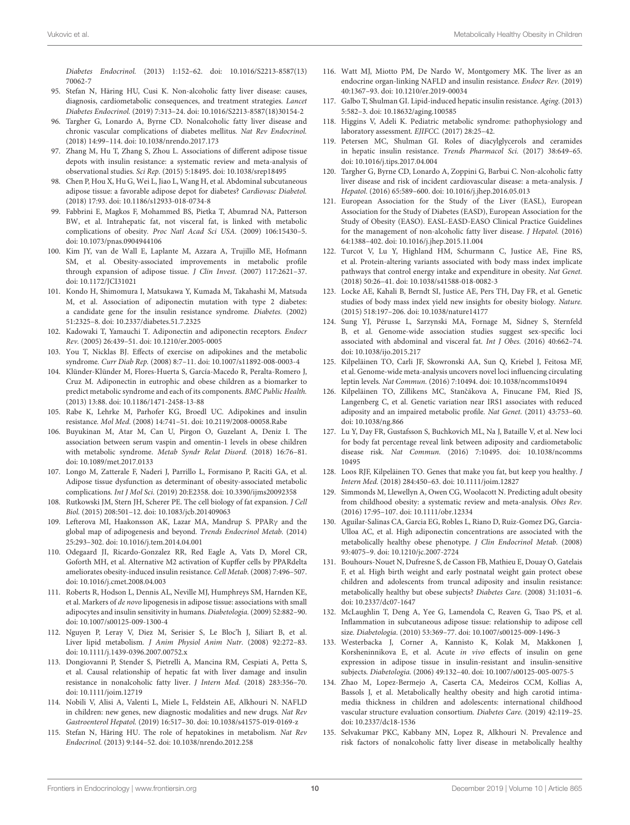Diabetes Endocrinol. [\(2013\) 1:152–62. doi: 10.1016/S2213-8587\(13\)](https://doi.org/10.1016/S2213-8587(13)70062-7) 70062-7

- 95. Stefan N, Häring HU, Cusi K. Non-alcoholic fatty liver disease: causes, diagnosis, cardiometabolic consequences, and treatment strategies. Lancet Diabetes Endocrinol. (2019) 7:313–24. doi: [10.1016/S2213-8587\(18\)30154-2](https://doi.org/10.1016/S2213-8587(18)30154-2)
- <span id="page-9-0"></span>96. Targher G, Lonardo A, Byrne CD. Nonalcoholic fatty liver disease and chronic vascular complications of diabetes mellitus. Nat Rev Endocrinol. (2018) 14:99–114. doi: [10.1038/nrendo.2017.173](https://doi.org/10.1038/nrendo.2017.173)
- <span id="page-9-1"></span>97. Zhang M, Hu T, Zhang S, Zhou L. Associations of different adipose tissue depots with insulin resistance: a systematic review and meta-analysis of observational studies. Sci Rep. (2015) 5:18495. doi: [10.1038/srep18495](https://doi.org/10.1038/srep18495)
- 98. Chen P, Hou X, Hu G, Wei L, Jiao L, Wang H, et al. Abdominal subcutaneous adipose tissue: a favorable adipose depot for diabetes? Cardiovasc Diabetol. (2018) 17:93. doi: [10.1186/s12933-018-0734-8](https://doi.org/10.1186/s12933-018-0734-8)
- <span id="page-9-2"></span>99. Fabbrini E, Magkos F, Mohammed BS, Pietka T, Abumrad NA, Patterson BW, et al. Intrahepatic fat, not visceral fat, is linked with metabolic complications of obesity. Proc Natl Acad Sci USA. (2009) 106:15430–5. doi: [10.1073/pnas.0904944106](https://doi.org/10.1073/pnas.0904944106)
- <span id="page-9-3"></span>100. Kim JY, van de Wall E, Laplante M, Azzara A, Trujillo ME, Hofmann SM, et al. Obesity-associated improvements in metabolic profile through expansion of adipose tissue. J Clin Invest. (2007) 117:2621–37. doi: [10.1172/JCI31021](https://doi.org/10.1172/JCI31021)
- <span id="page-9-4"></span>101. Kondo H, Shimomura I, Matsukawa Y, Kumada M, Takahashi M, Matsuda M, et al. Association of adiponectin mutation with type 2 diabetes: a candidate gene for the insulin resistance syndrome. Diabetes. (2002) 51:2325–8. doi: [10.2337/diabetes.51.7.2325](https://doi.org/10.2337/diabetes.51.7.2325)
- <span id="page-9-5"></span>102. Kadowaki T, Yamauchi T. Adiponectin and adiponectin receptors. Endocr Rev. (2005) 26:439–51. doi: [10.1210/er.2005-0005](https://doi.org/10.1210/er.2005-0005)
- 103. You T, Nicklas BJ. Effects of exercise on adipokines and the metabolic syndrome. Curr Diab Rep. (2008) 8:7–11. doi: [10.1007/s11892-008-0003-4](https://doi.org/10.1007/s11892-008-0003-4)
- <span id="page-9-6"></span>104. Klünder-Klünder M, Flores-Huerta S, García-Macedo R, Peralta-Romero J, Cruz M. Adiponectin in eutrophic and obese children as a biomarker to predict metabolic syndrome and each of its components. BMC Public Health. (2013) 13:88. doi: [10.1186/1471-2458-13-88](https://doi.org/10.1186/1471-2458-13-88)
- <span id="page-9-7"></span>105. Rabe K, Lehrke M, Parhofer KG, Broedl UC. Adipokines and insulin resistance. Mol Med. (2008) 14:741–51. doi: [10.2119/2008-00058.Rabe](https://doi.org/10.2119/2008-00058.Rabe)
- <span id="page-9-8"></span>106. Buyukinan M, Atar M, Can U, Pirgon O, Guzelant A, Deniz I. The association between serum vaspin and omentin-1 levels in obese children with metabolic syndrome. Metab Syndr Relat Disord. (2018) 16:76–81. doi: [10.1089/met.2017.0133](https://doi.org/10.1089/met.2017.0133)
- <span id="page-9-9"></span>107. Longo M, Zatterale F, Naderi J, Parrillo L, Formisano P, Raciti GA, et al. Adipose tissue dysfunction as determinant of obesity-associated metabolic complications. Int J Mol Sci. (2019) 20:E2358. doi: [10.3390/ijms20092358](https://doi.org/10.3390/ijms20092358)
- <span id="page-9-10"></span>108. Rutkowski JM, Stern JH, Scherer PE. The cell biology of fat expansion. J Cell Biol. (2015) 208:501–12. doi: [10.1083/jcb.201409063](https://doi.org/10.1083/jcb.201409063)
- <span id="page-9-11"></span>109. Lefterova MI, Haakonsson AK, Lazar MA, Mandrup S. PPARγ and the global map of adipogenesis and beyond. Trends Endocrinol Metab. (2014) 25:293–302. doi: [10.1016/j.tem.2014.04.001](https://doi.org/10.1016/j.tem.2014.04.001)
- <span id="page-9-12"></span>110. Odegaard JI, Ricardo-Gonzalez RR, Red Eagle A, Vats D, Morel CR, Goforth MH, et al. Alternative M2 activation of Kupffer cells by PPARdelta ameliorates obesity-induced insulin resistance. Cell Metab. (2008) 7:496–507. doi: [10.1016/j.cmet.2008.04.003](https://doi.org/10.1016/j.cmet.2008.04.003)
- <span id="page-9-13"></span>111. Roberts R, Hodson L, Dennis AL, Neville MJ, Humphreys SM, Harnden KE, et al. Markers of de novo lipogenesis in adipose tissue: associations with small adipocytes and insulin sensitivity in humans. Diabetologia. (2009) 52:882–90. doi: [10.1007/s00125-009-1300-4](https://doi.org/10.1007/s00125-009-1300-4)
- <span id="page-9-14"></span>112. Nguyen P, Leray V, Diez M, Serisier S, Le Bloc'h J, Siliart B, et al. Liver lipid metabolism. J Anim Physiol Anim Nutr. (2008) 92:272–83. doi: [10.1111/j.1439-0396.2007.00752.x](https://doi.org/10.1111/j.1439-0396.2007.00752.x)
- <span id="page-9-15"></span>113. Dongiovanni P, Stender S, Pietrelli A, Mancina RM, Cespiati A, Petta S, et al. Causal relationship of hepatic fat with liver damage and insulin resistance in nonalcoholic fatty liver. J Intern Med. (2018) 283:356–70. doi: [10.1111/joim.12719](https://doi.org/10.1111/joim.12719)
- <span id="page-9-16"></span>114. Nobili V, Alisi A, Valenti L, Miele L, Feldstein AE, Alkhouri N. NAFLD in children: new genes, new diagnostic modalities and new drugs. Nat Rev Gastroenterol Hepatol. (2019) 16:517–30. doi: [10.1038/s41575-019-0169-z](https://doi.org/10.1038/s41575-019-0169-z)
- <span id="page-9-17"></span>115. Stefan N, Häring HU. The role of hepatokines in metabolism. Nat Rev Endocrinol. (2013) 9:144–52. doi: [10.1038/nrendo.2012.258](https://doi.org/10.1038/nrendo.2012.258)
- <span id="page-9-18"></span>116. Watt MJ, Miotto PM, De Nardo W, Montgomery MK. The liver as an endocrine organ-linking NAFLD and insulin resistance. Endocr Rev. (2019) 40:1367–93. doi: [10.1210/er.2019-00034](https://doi.org/10.1210/er.2019-00034)
- <span id="page-9-19"></span>117. Galbo T, Shulman GI. Lipid-induced hepatic insulin resistance. Aging. (2013) 5:582–3. doi: [10.18632/aging.100585](https://doi.org/10.18632/aging.100585)
- <span id="page-9-20"></span>118. Higgins V, Adeli K. Pediatric metabolic syndrome: pathophysiology and laboratory assessment. EJIFCC. (2017) 28:25–42.
- 119. Petersen MC, Shulman GI. Roles of diacylglycerols and ceramides in hepatic insulin resistance. Trends Pharmacol Sci. (2017) 38:649–65. doi: [10.1016/j.tips.2017.04.004](https://doi.org/10.1016/j.tips.2017.04.004)
- 120. Targher G, Byrne CD, Lonardo A, Zoppini G, Barbui C. Non-alcoholic fatty liver disease and risk of incident cardiovascular disease: a meta-analysis. J Hepatol. (2016) 65:589–600. doi: [10.1016/j.jhep.2016.05.013](https://doi.org/10.1016/j.jhep.2016.05.013)
- <span id="page-9-21"></span>121. European Association for the Study of the Liver (EASL), European Association for the Study of Diabetes (EASD), European Association for the Study of Obesity (EASO). EASL-EASD-EASO Clinical Practice Guidelines for the management of non-alcoholic fatty liver disease. J Hepatol. (2016) 64:1388–402. doi: [10.1016/j.jhep.2015.11.004](https://doi.org/10.1016/j.jhep.2015.11.004)
- <span id="page-9-22"></span>122. Turcot V, Lu Y, Highland HM, Schurmann C, Justice AE, Fine RS, et al. Protein-altering variants associated with body mass index implicate pathways that control energy intake and expenditure in obesity. Nat Genet. (2018) 50:26–41. doi: [10.1038/s41588-018-0082-3](https://doi.org/10.1038/s41588-018-0082-3)
- <span id="page-9-23"></span>123. Locke AE, Kahali B, Berndt SI, Justice AE, Pers TH, Day FR, et al. Genetic studies of body mass index yield new insights for obesity biology. Nature. (2015) 518:197–206. doi: [10.1038/nature14177](https://doi.org/10.1038/nature14177)
- <span id="page-9-24"></span>124. Sung YJ, Pérusse L, Sarzynski MA, Fornage M, Sidney S, Sternfeld B, et al. Genome-wide association studies suggest sex-specific loci associated with abdominal and visceral fat. Int J Obes. (2016) 40:662–74. doi: [10.1038/ijo.2015.217](https://doi.org/10.1038/ijo.2015.217)
- <span id="page-9-25"></span>125. Kilpeläinen TO, Carli JF, Skowronski AA, Sun Q, Kriebel J, Feitosa MF, et al. Genome-wide meta-analysis uncovers novel loci influencing circulating leptin levels. Nat Commun. (2016) 7:10494. doi: [10.1038/ncomms10494](https://doi.org/10.1038/ncomms10494)
- <span id="page-9-26"></span>126. Kilpeläinen TO, Zillikens MC, Stančákova A, Finucane FM, Ried JS, Langenberg C, et al. Genetic variation near IRS1 associates with reduced adiposity and an impaired metabolic profile. Nat Genet. (2011) 43:753–60. doi: [10.1038/ng.866](https://doi.org/10.1038/ng.866)
- 127. Lu Y, Day FR, Gustafsson S, Buchkovich ML, Na J, Bataille V, et al. New loci for body fat percentage reveal link between adiposity and cardiometabolic disease risk. Nat Commun. [\(2016\) 7:10495. doi: 10.1038/ncomms](https://doi.org/10.1038/ncomms10495) 10495
- <span id="page-9-27"></span>128. Loos RJF, Kilpeläinen TO. Genes that make you fat, but keep you healthy. J Intern Med. (2018) 284:450–63. doi: [10.1111/joim.12827](https://doi.org/10.1111/joim.12827)
- <span id="page-9-28"></span>129. Simmonds M, Llewellyn A, Owen CG, Woolacott N. Predicting adult obesity from childhood obesity: a systematic review and meta-analysis. Obes Rev. (2016) 17:95–107. doi: [10.1111/obr.12334](https://doi.org/10.1111/obr.12334)
- <span id="page-9-29"></span>130. Aguilar-Salinas CA, Garcia EG, Robles L, Riano D, Ruiz-Gomez DG, Garcia-Ulloa AC, et al. High adiponectin concentrations are associated with the metabolically healthy obese phenotype. J Clin Endocrinol Metab. (2008) 93:4075–9. doi: [10.1210/jc.2007-2724](https://doi.org/10.1210/jc.2007-2724)
- 131. Bouhours-Nouet N, Dufresne S, de Casson FB, Mathieu E, Douay O, Gatelais F, et al. High birth weight and early postnatal weight gain protect obese children and adolescents from truncal adiposity and insulin resistance: metabolically healthy but obese subjects? Diabetes Care. (2008) 31:1031–6. doi: [10.2337/dc07-1647](https://doi.org/10.2337/dc07-1647)
- 132. McLaughlin T, Deng A, Yee G, Lamendola C, Reaven G, Tsao PS, et al. Inflammation in subcutaneous adipose tissue: relationship to adipose cell size. Diabetologia. (2010) 53:369–77. doi: [10.1007/s00125-009-1496-3](https://doi.org/10.1007/s00125-009-1496-3)
- 133. Westerbacka J, Corner A, Kannisto K, Kolak M, Makkonen J, Korsheninnikova E, et al. Acute in vivo effects of insulin on gene expression in adipose tissue in insulin-resistant and insulin-sensitive subjects. Diabetologia. (2006) 49:132–40. doi: [10.1007/s00125-005-0075-5](https://doi.org/10.1007/s00125-005-0075-5)
- <span id="page-9-30"></span>134. Zhao M, Lopez-Bermejo A, Caserta CA, Medeiros CCM, Kollias A, Bassols J, et al. Metabolically healthy obesity and high carotid intimamedia thickness in children and adolescents: international childhood vascular structure evaluation consortium. Diabetes Care. (2019) 42:119–25. doi: [10.2337/dc18-1536](https://doi.org/10.2337/dc18-1536)
- <span id="page-9-31"></span>135. Selvakumar PKC, Kabbany MN, Lopez R, Alkhouri N. Prevalence and risk factors of nonalcoholic fatty liver disease in metabolically healthy